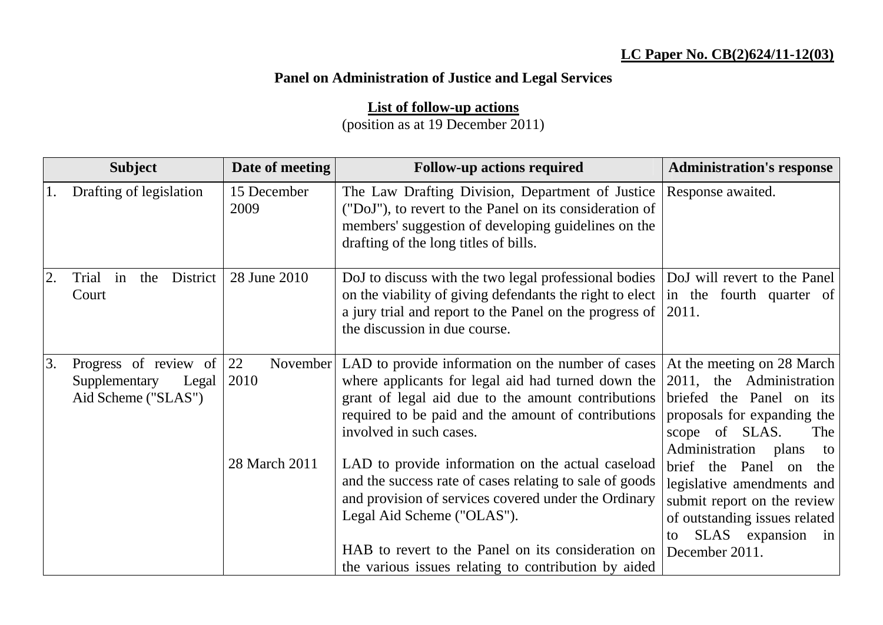## **LC Paper No. CB(2)624/11-12(03)**

## **Panel on Administration of Justice and Legal Services**

**List of follow-up actions**

(position as at 19 December 2011)

|    | <b>Subject</b>                                                         | Date of meeting                         | <b>Follow-up actions required</b>                                                                                                                                                                                                                                                                                                                                                                                                                 | <b>Administration's response</b>                                                                                                              |
|----|------------------------------------------------------------------------|-----------------------------------------|---------------------------------------------------------------------------------------------------------------------------------------------------------------------------------------------------------------------------------------------------------------------------------------------------------------------------------------------------------------------------------------------------------------------------------------------------|-----------------------------------------------------------------------------------------------------------------------------------------------|
|    | Drafting of legislation                                                | 15 December<br>2009                     | The Law Drafting Division, Department of Justice<br>("DoJ"), to revert to the Panel on its consideration of<br>members' suggestion of developing guidelines on the<br>drafting of the long titles of bills.                                                                                                                                                                                                                                       | Response awaited.                                                                                                                             |
|    | District<br>Trial<br>in<br>the<br>Court                                | 28 June 2010                            | DoJ to discuss with the two legal professional bodies   DoJ will revert to the Panel<br>on the viability of giving defendants the right to elect in the fourth quarter of<br>a jury trial and report to the Panel on the progress of $ 2011$ .<br>the discussion in due course.                                                                                                                                                                   |                                                                                                                                               |
| 3. | Progress of review of<br>Supplementary<br>Legal<br>Aid Scheme ("SLAS") | 22<br>November<br>2010<br>28 March 2011 | LAD to provide information on the number of cases   At the meeting on 28 March<br>where applicants for legal aid had turned down the<br>grant of legal aid due to the amount contributions briefed the Panel on its<br>required to be paid and the amount of contributions proposals for expanding the<br>involved in such cases.<br>LAD to provide information on the actual caseload<br>and the success rate of cases relating to sale of goods | 2011, the Administration<br>scope of SLAS.<br>The<br>Administration<br>plans<br>to<br>brief the Panel on<br>the<br>legislative amendments and |
|    |                                                                        |                                         | and provision of services covered under the Ordinary<br>Legal Aid Scheme ("OLAS").<br>HAB to revert to the Panel on its consideration on  December 2011.<br>the various issues relating to contribution by aided                                                                                                                                                                                                                                  | submit report on the review<br>of outstanding issues related<br>SLAS expansion in<br>to                                                       |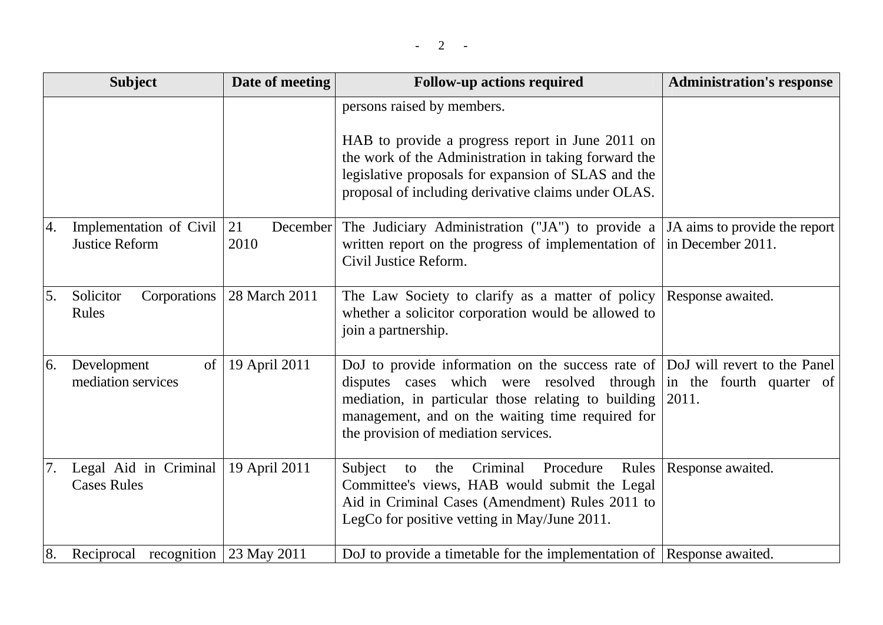|    | <b>Subject</b>                                          | Date of meeting  | <b>Follow-up actions required</b>                                                                                                                                                                                                                                                                                  | <b>Administration's response</b> |
|----|---------------------------------------------------------|------------------|--------------------------------------------------------------------------------------------------------------------------------------------------------------------------------------------------------------------------------------------------------------------------------------------------------------------|----------------------------------|
|    |                                                         |                  | persons raised by members.                                                                                                                                                                                                                                                                                         |                                  |
|    |                                                         |                  | HAB to provide a progress report in June 2011 on<br>the work of the Administration in taking forward the<br>legislative proposals for expansion of SLAS and the<br>proposal of including derivative claims under OLAS.                                                                                             |                                  |
| 4. | Implementation of Civil $ 21 $<br><b>Justice Reform</b> | December<br>2010 | The Judiciary Administration ("JA") to provide a $JA$ aims to provide the report<br>written report on the progress of implementation of<br>Civil Justice Reform.                                                                                                                                                   | in December 2011.                |
| 5. | Corporations  <br>Solicitor<br>Rules                    | 28 March 2011    | The Law Society to clarify as a matter of policy Response awaited.<br>whether a solicitor corporation would be allowed to<br>join a partnership.                                                                                                                                                                   |                                  |
| 6. | Development<br>of<br>mediation services                 | 19 April 2011    | DoJ to provide information on the success rate of DoJ will revert to the Panel<br>disputes cases which were resolved through in the fourth quarter of<br>mediation, in particular those relating to building $ 2011$ .<br>management, and on the waiting time required for<br>the provision of mediation services. |                                  |
|    | Legal Aid in Criminal<br><b>Cases Rules</b>             | 19 April 2011    | Criminal Procedure<br>Subject<br>the<br>to<br>Committee's views, HAB would submit the Legal<br>Aid in Criminal Cases (Amendment) Rules 2011 to<br>LegCo for positive vetting in May/June 2011.                                                                                                                     | Rules   Response awaited.        |
| 8. | Reciprocal recognition 23 May 2011                      |                  | DoJ to provide a timetable for the implementation of Response awaited.                                                                                                                                                                                                                                             |                                  |